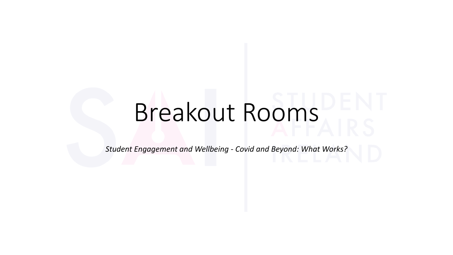# Breakout Rooms

*Student Engagement and Wellbeing - Covid and Beyond: What Works?*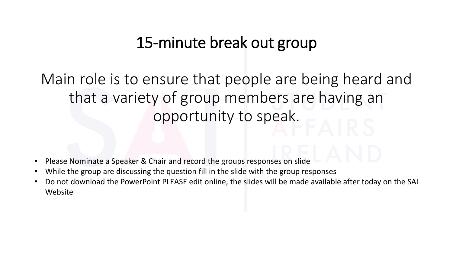## 15-minute break out group

Main role is to ensure that people are being heard and that a variety of group members are having an opportunity to speak.

- Please Nominate a Speaker & Chair and record the groups responses on slide
- While the group are discussing the question fill in the slide with the group responses
- Do not download the PowerPoint PLEASE edit online, the slides will be made available after today on the SAI Website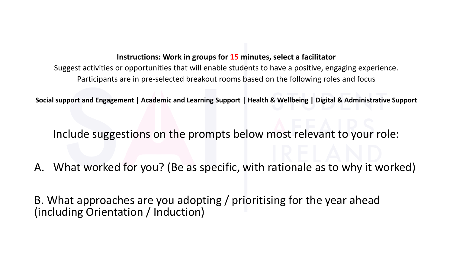### **Instructions: Work in groups for 15 minutes, select a facilitator**

Suggest activities or opportunities that will enable students to have a positive, engaging experience. Participants are in pre-selected breakout rooms based on the following roles and focus

**Social support and Engagement | Academic and Learning Support | Health & Wellbeing | Digital & Administrative Support**

Include suggestions on the prompts below most relevant to your role:

A. What worked for you? (Be as specific, with rationale as to why it worked)

B. What approaches are you adopting / prioritising for the year ahead (including Orientation / Induction)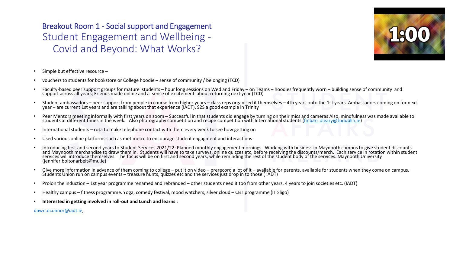Breakout Room 1 - Social support and Engagement Student Engagement and Wellbeing - Covid and Beyond: What Works?



- Simple but effective resource –
- vouchers to students for bookstore or College hoodie sense of community / belonging (TCD)
- Faculty-based peer support groups for mature students hour long sessions on Wed and Friday on Teams hoodies frequently worn building sense of community and support across all years; Friends made online and a sense of excitement about returning next year (TCD)
- Student ambassadors peer support from people in course from higher years class reps organised it themselves 4th years onto the 1st years. Ambassadors coming on for next year – are current 1st years and are talking about that experience (IADT), S2S a good example in Trinity
- Peer Mentors meeting informally with first years on zoom Successful in that students did engage by turning on their mics and cameras Also, mindfulness was made available to students at different times in the week. Also photography competition and recipe competition with International students [\(finbarr.oleary@tudublin.ie\)](mailto:finbarr.oleary@tudublin.ie)
- International students rota to make telephone contact with them every week to see how getting on
- Used various online platforms such as metimetre to encourage student engagment and interactions
- Introducing first and second years to Student Services 2021/22: Planned monthly engagement mornings. Working with business in Maynooth campus to give student discounts<br>and Maynooth merchandise to draw them in. Students wil services will introduce themselves. The focus will be on first and second years, while reminding the rest of the student body of the services. Maynooth University<br>(jennifer.boltonarbeit@mu.ie)
- Give more information in advance of them coming to college put it on video prerecord a lot of it available for parents, available for students when they come on campus.<br>Students Union run on campus events treasur
- Prolon the induction 1st year programme renamed and rebranded other students need it too from other years. 4 years to join societies etc. (IADT)
- Healthy campus fitness programme. Yoga, comedy festival, mood watchers, silver cloud CBT programme (IT Sligo)
- **Interested in getting involved in roll-out and Lunch and learns :**

[dawn.oconnor@iadt.ie,](mailto:dawn.oconnor@iadt.ie)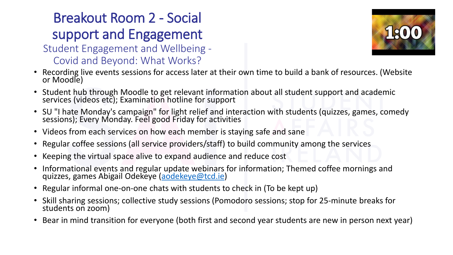## Breakout Room 2 - Social support and Engagement

### Student Engagement and Wellbeing - Covid and Beyond: What Works?



- Recording live events sessions for access later at their own time to build a bank of resources. (Website or Moodle)
- Student hub through Moodle to get relevant information about all student support and academic services (videos etc); Examination hotline for support
- SU "I hate Monday's campaign" for light relief and interaction with students (quizzes, games, comedy sessions); Every Monday. Feel good Friday for activities
- Videos from each services on how each member is staying safe and sane
- Regular coffee sessions (all service providers/staff) to build community among the services
- Keeping the virtual space alive to expand audience and reduce cost
- Informational events and regular update webinars for information; Themed coffee mornings and quizzes, games Abigail Odekeye [\(aodekeye@tcd.ie\)](mailto:aodekeye@tcd.ie)
- Regular informal one-on-one chats with students to check in (To be kept up)
- Skill sharing sessions; collective study sessions (Pomodoro sessions; stop for 25-minute breaks for students on zoom)
- Bear in mind transition for everyone (both first and second year students are new in person next year)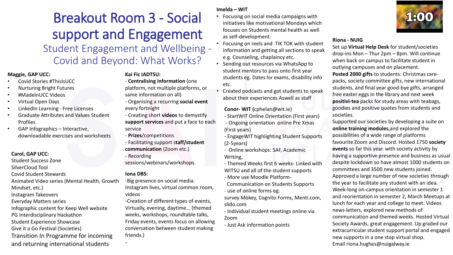## Breakout Room 3 - Social support and Engagement

Student Engagement and Wellbeing - Covid and Beyond: What Works?

#### **Maggie, GAP UCC:**

- Covid Stories #ThisIsUCC
- Nurturing Bright Futures
- #MadeInUCC Videos
- Virtual Open Days
- LinkedIn Learning Free Licenses
- Graduate Attributes and Values Student Profiles
- GAP Infographics Interactive, downloadable exercises and worksheets

**Carol, GAP UCC:**

Student Success Zone SilverCloud Tool Covid Student Stewards Animated Video series (Mental Health, Growth Mindset, etc.) Instagram Takeovers Everyday Matters series Infographic content for Keep Well website PG Interdisciplinary Hackathon Student Experience Showcase Give it a Go Festival (Societies) Transition In Programme for incoming

and returning international students

### **Kai Fic IADTSU:**

- **Centralising information** (one platform, not multiple platforms, or
- same information on all)
- Organising a recurring **social event** every fortnight
- Creating short **videos** to demystify **support services** and put a face to each service
- **Prizes**/competitions
- Facilitating support s**taff/student communication** (Zoom etc.)
- Recording
- sessions/webinars/workshops.

#### **Iona DBS:**

-

-Big presence on social media. Instagram lives, virtual common room, videos

-Creation of different types of events, Virtually, evening, daytime... (themed weeks, workshops, roundtable talks, Friday events, events focus on allowing conversation between student making friends.)

#### **Imelda – WIT**

- Focusing on social media campaigns with initiatives like motivational Mondays which focuses on Students mental health as well as self-development.
- Focusing on reels and TIK TOK with student information and getting all sections to speak e.g. Counseling, chaplaincy etc.
- Sending out resources via WhatsApp to student mentors to pass onto first year students eg. Dates for exams, disability info etc.
- Created podcasts and got students to speak about their experiences Aswell as staff

**Conor- WIT (**cphelan@wit.ie)

- StartWIT Online Orientation (First years) - Ongoing orientation online Pre Xmas (First years)
- EngageWIT highlighting Student Supports (2-5years)
- Online workshops: SAF, Academic Writing,
- Themed Weeks first 6 weeks- Linked with WITSU and all of the student supports
- More use Moodle Platform-
- Communication on Students Supports - use of online forms eg:
- survey Mokey, Cognito Forms, Menti.com, slido.com
- Individual student meetings online via Zoom
- Just Ask information points



#### **Riona - NUIG**

Set up **Virtual Help Desk** for student/societies drop-ins Mon – Thur 2pm – 8pm. Will continue when back on campus to facilitate student in outlying campuses and on placement. **Posted 2000 gifts** to students: Christmas carepacks, society committee gifts, new international students, and final year good-bye gifts, arranged free easter eggs in the library and next week **positivi-tea** packs for study areas with teabags, goodies and positive quotes from students and societies.

Supported our societies by developing a suite on **online training modules**,and explored the possibilities of a wide range of platforms favourite Zoom and Discord. Hosted 1750 **society events** so far this year. with society activity by having a supportive presence and business as usual despite lockdown so have almost 1000 students on committees and 3500 new students joined. Approved a large number of new societies through the year to facilitate any student with an idea. Week-long on-campus orientation in semester 1 and reorientation in semester 2, March Meetups at lunch for each year and college to meet. Videos news-letters, explored new methods of communication and themed weeks. Hosted Virtual Society Awards, great engagement. Up graded our extracurricular student support portal and engaged new supports in a one stop virtual shop. Email riona.hughes@nuigalway.ie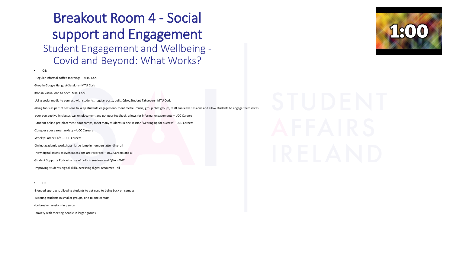## Breakout Room 4 - Social support and Engagement Student Engagement and Wellbeing - Covid and Beyond: What Works?

• Q1: - Regular informal coffee mornings – MTU Cork -Drop in Google Hangout-Sessions- MTU Cork Drop in Virtual one to ones MTU Cork Using social media to connect with students, regular posts, polls, Q&A, Student Takeovers- MTU Cork -Using tools as part of sessions to keep students engagement- mentimetre, music, group chat groups, staff can leave sessions and allow students to engage themselves -peer perspective in classes e.g. on placement and get peer feedback, allows for informal engagements – UCC Careers - Student online pre-placement boot camps, meet many students in one session 'Gearing up for Success' - UCC Careers -Conquer your career anxiety – UCC Careers -Weekly Career Cafe – UCC Careers -Online academic workshops- large jump in numbers attending- all - New digital assets as events/sessions are recorded – UCC Careers and all -Student Supports Podcasts- use of polls in sessions and Q&A - WIT -Improving students digital skills, accessing digital resources - all

• Q2

-Blended approach, allowing students to get used to being back on campus -Meeting students in smaller groups, one to one contact -ice breaker sessions in person



- anxiety with meeting people in larger groups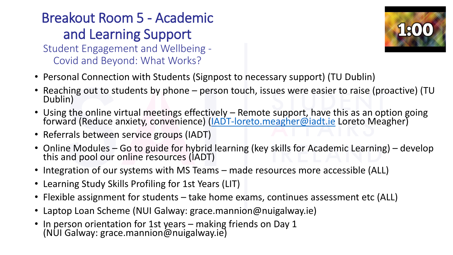## Breakout Room 5 - Academic and Learning Support

Student Engagement and Wellbeing - Covid and Beyond: What Works?



- Personal Connection with Students (Signpost to necessary support) (TU Dublin)
- Reaching out to students by phone person touch, issues were easier to raise (proactive) (TU<br>Dublin)
- Using the online virtual meetings effectively [Remote support, have t](mailto:IADT-learningdevelopment@iadt.ie)his as an option going forward (Reduce anxiety, convenience) ([IADT-loreto.meagher@iadt.ie](mailto:IADT-learningdevelopment@iadt.ie) Loreto Meagher)
- Referrals between service groups (IADT)
- Online Modules Go to guide for hybrid learning (key skills for Academic Learning) develop this and pool our online resources (IADT)
- Integration of our systems with MS Teams made resources more accessible (ALL)
- Learning Study Skills Profiling for 1st Years (LIT)
- Flexible assignment for students take home exams, continues assessment etc (ALL)
- Laptop Loan Scheme (NUI Galway: grace.mannion@nuigalway.ie)
- In person orientation for 1st years making friends on Day 1 (NUI Galway: grace.mannion@nuigalway.ie)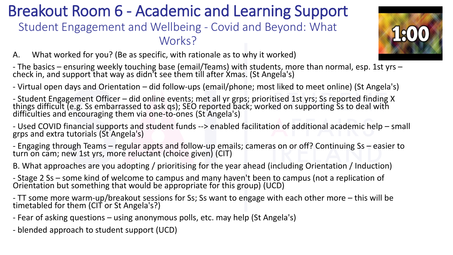## Breakout Room 6 - Academic and Learning Support

### Student Engagement and Wellbeing - Covid and Beyond: What Works?



A. What worked for you? (Be as specific, with rationale as to why it worked)

- The basics – ensuring weekly touching base (email/Teams) with students, more than normal, esp. 1st yrs –<br>check in, and support that way as didn't see them till after Xmas. (St Angela's)

- Virtual open days and Orientation – did follow-ups (email/phone; most liked to meet online) (St Angela's)

- Student Engagement Officer – did online events; met all yr grps; prioritised 1st yrs; Ss reported finding X<br>things difficult (e.g. Ss embarrassed to ask qs); SEO reported back; worked on supporting Ss to deal with<br>diffic

- Used COVID financial supports and student funds --> enabled facilitation of additional academic help – small grps and extra tutorials (St Angela's)

- Engaging through Teams – regular appts and follow-up emails; cameras on or off? Continuing Ss – easier to turn on cam; new 1st yrs, more reluctant (choice given) (CIT)

B. What approaches are you adopting / prioritising for the year ahead (including Orientation / Induction)

- Stage 2 Ss – some kind of welcome to campus and many haven't been to campus (not a replication of Orientation but something that would be appropriate for this group) (UCD)

- TT some more warm-up/breakout sessions for Ss; Ss want to engage with each other more this will be timetabled for them (CIT or St Angela's?)
- Fear of asking questions using anonymous polls, etc. may help (St Angela's)
- blended approach to student support (UCD)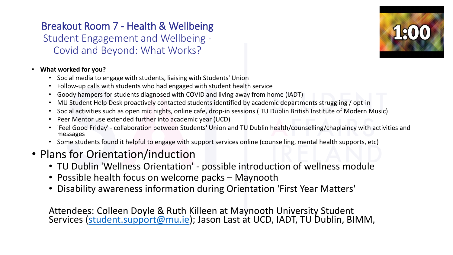### Breakout Room 7 - Health & Wellbeing Student Engagement and Wellbeing - Covid and Beyond: What Works?



### • **What worked for you?**

- Social media to engage with students, liaising with Students' Union
- Follow-up calls with students who had engaged with student health service
- Goody hampers for students diagnosed with COVID and living away from home (IADT)
- MU Student Help Desk proactively contacted students identified by academic departments struggling / opt-in
- Social activities such as open mic nights, online cafe, drop-in sessions ( TU Dublin British Institute of Modern Music)
- Peer Mentor use extended further into academic year (UCD)
- 'Feel Good Friday' collaboration between Students' Union and TU Dublin health/counselling/chaplaincy with activities and messages
- Some students found it helpful to engage with support services online (counselling, mental health supports, etc)

### • Plans for Orientation/induction

- TU Dublin 'Wellness Orientation' possible introduction of wellness module
- Possible health focus on welcome packs Maynooth
- Disability awareness information during Orientation 'First Year Matters'

Attendees: Colleen Doyle & Ruth Killeen at Maynooth University Student Services (<u>student.support@mu.ie</u>); Jason Last at UCD, IADT, TU Dublin, BIMM,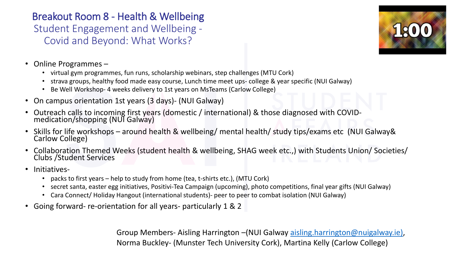Breakout Room 8 - Health & Wellbeing Student Engagement and Wellbeing - Covid and Beyond: What Works?



- Online Programmes
	- virtual gym programmes, fun runs, scholarship webinars, step challenges (MTU Cork)
	- strava groups, healthy food made easy course, Lunch time meet ups- college & year specific (NUI Galway)
	- Be Well Workshop- 4 weeks delivery to 1st years on MsTeams (Carlow College)
- On campus orientation 1st years (3 days)- (NUI Galway)
- Outreach calls to incoming first years (domestic / international) & those diagnosed with COVID- medication/shopping (NUI Galway)
- Skills for life workshops around health & wellbeing/ mental health/ study tips/exams etc (NUI Galway&<br>Carlow College)
- Collaboration Themed Weeks (student health & wellbeing, SHAG week etc.,) with Students Union/ Societies/ Clubs /Student Services
- Initiatives-
	- packs to first years help to study from home (tea, t-shirts etc.), (MTU Cork)
	- secret santa, easter egg initiatives, Positivi-Tea Campaign (upcoming), photo competitions, final year gifts (NUI Galway)
	- Cara Connect/ Holiday Hangout (international students)- peer to peer to combat isolation (NUI Galway)
- Going forward- re-orientation for all years- particularly 1 & 2

Group Members- Aisling Harrington –(NUI Galway [aisling.harrington@nuigalway.ie\)](mailto:aisling.harrington@nuigalway.ie), Norma Buckley- (Munster Tech University Cork), Martina Kelly (Carlow College)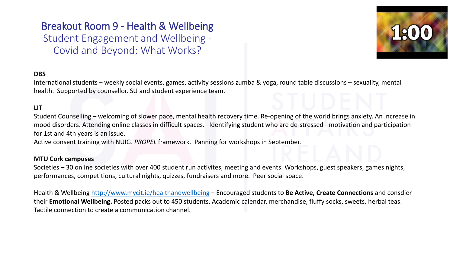### Breakout Room 9 - Health & Wellbeing Student Engagement and Wellbeing - Covid and Beyond: What Works?



### **DBS**

International students – weekly social events, games, activity sessions zumba & yoga, round table discussions – sexuality, mental health. Supported by counsellor. SU and student experience team.

### **LIT**

Student Counselling – welcoming of slower pace, mental health recovery time. Re-opening of the world brings anxiety. An increase in mood disorders. Attending online classes in difficult spaces. Identifying student who are de-stressed - motivation and participation for 1st and 4th years is an issue.

Active consent training with NUIG. *PROPEL* framework. Panning for workshops in September.

#### **MTU Cork campuses**

Societies – 30 online societies with over 400 student run activites, meeting and events. Workshops, guest speakers, games nights, performances, competitions, cultural nights, quizzes, fundraisers and more. Peer social space.

Health & Wellbeing <http://www.mycit.ie/healthandwellbeing> – Encouraged students to **Be Active, Create Connections** and consdier their **Emotional Wellbeing.** Posted packs out to 450 students. Academic calendar, merchandise, fluffy socks, sweets, herbal teas. Tactile connection to create a communication channel.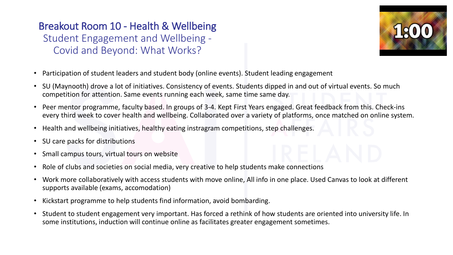Breakout Room 10 - Health & Wellbeing Student Engagement and Wellbeing - Covid and Beyond: What Works?



- Participation of student leaders and student body (online events). Student leading engagement
- SU (Maynooth) drove a lot of initiatives. Consistency of events. Students dipped in and out of virtual events. So much competition for attention. Same events running each week, same time same day.
- Peer mentor programme, faculty based. In groups of 3-4. Kept First Years engaged. Great feedback from this. Check-ins every third week to cover health and wellbeing. Collaborated over a variety of platforms, once matched on online system.
- Health and wellbeing initiatives, healthy eating instragram competitions, step challenges.
- SU care packs for distributions
- Small campus tours, virtual tours on website
- Role of clubs and societies on social media, very creative to help students make connections
- Work more collaboratively with access students with move online, All info in one place. Used Canvas to look at different supports available (exams, accomodation)
- Kickstart programme to help students find information, avoid bombarding.
- Student to student engagement very important. Has forced a rethink of how students are oriented into university life. In some institutions, induction will continue online as facilitates greater engagement sometimes.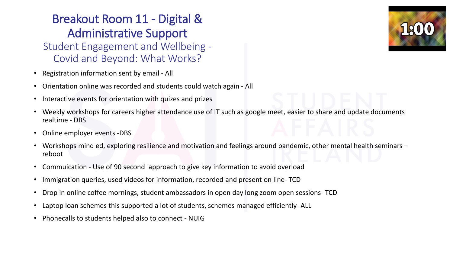### Breakout Room 11 - Digital & Administrative Support Student Engagement and Wellbeing - Covid and Beyond: What Works?

- Registration information sent by email All
- Orientation online was recorded and students could watch again All
- Interactive events for orientation with quizes and prizes
- Weekly workshops for careers higher attendance use of IT such as google meet, easier to share and update documents realtime - DBS
- Online employer events -DBS
- Workshops mind ed, exploring resilience and motivation and feelings around pandemic, other mental health seminars reboot
- Commuication Use of 90 second approach to give key information to avoid overload
- Immigration queries, used videos for information, recorded and present on line- TCD
- Drop in online coffee mornings, student ambassadors in open day long zoom open sessions- TCD
- Laptop loan schemes this supported a lot of students, schemes managed efficiently- ALL
- Phonecalls to students helped also to connect NUIG